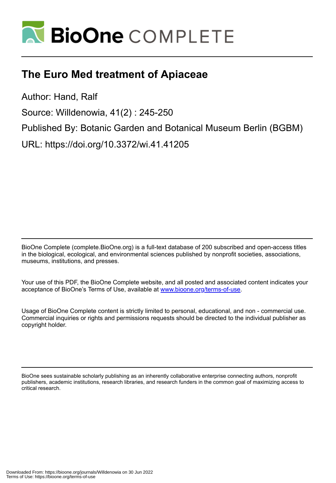

# **The Euro Med treatment of Apiaceae**

Author: Hand, Ralf

Source: Willdenowia, 41(2) : 245-250

Published By: Botanic Garden and Botanical Museum Berlin (BGBM)

URL: https://doi.org/10.3372/wi.41.41205

BioOne Complete (complete.BioOne.org) is a full-text database of 200 subscribed and open-access titles in the biological, ecological, and environmental sciences published by nonprofit societies, associations, museums, institutions, and presses.

Your use of this PDF, the BioOne Complete website, and all posted and associated content indicates your acceptance of BioOne's Terms of Use, available at www.bioone.org/terms-of-use.

Usage of BioOne Complete content is strictly limited to personal, educational, and non - commercial use. Commercial inquiries or rights and permissions requests should be directed to the individual publisher as copyright holder.

BioOne sees sustainable scholarly publishing as an inherently collaborative enterprise connecting authors, nonprofit publishers, academic institutions, research libraries, and research funders in the common goal of maximizing access to critical research.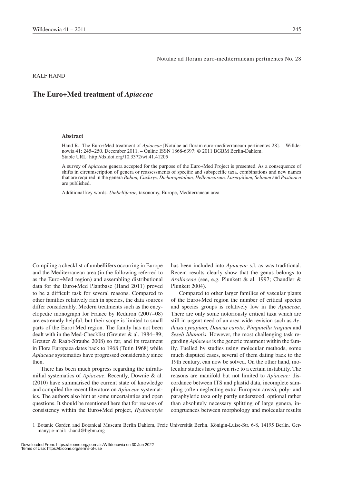Notulae ad floram euro-mediterraneam pertinentes No. 28

Ralf Hand

# **The Euro+Med treatment of** *Apiaceae*

#### **Abstract**

Hand R.: The Euro+Med treatment of *Apiaceae* [Notulae ad floram euro-mediterraneam pertinentes 28]. *–* Willdenowia 41: 245–250. December 2011. – Online ISSN 1868-6397; © 2011 BGBM Berlin-Dahlem. Stable URL: http://dx.doi.org/10.3372/wi.41.41205

A survey of *Apiaceae* genera accepted for the purpose of the Euro+Med Project is presented. As a consequence of shifts in circumscription of genera or reassessments of specific and subspecific taxa, combinations and new names that are required in the genera *Bubon, Cachrys, Dichoropetalum, Hellenocarum, Laserpitium, Selinum* and *Pastinaca*  are published.

Additional key words: *Umbelliferae,* taxonomy, Europe, Mediterranean area

Compiling a checklist of umbellifers occurring in Europe and the Mediterranean area (in the following referred to as the Euro+Med region) and assembling distributional data for the Euro+Med Plantbase (Hand 2011) proved to be a difficult task for several reasons. Compared to other families relatively rich in species, the data sources differ considerably. Modern treatments such as the encyclopedic monograph for France by Reduron (2007–08) are extremely helpful, but their scope is limited to small parts of the Euro+Med region. The family has not been dealt with in the Med-Checklist (Greuter & al. 1984–89; Greuter & Raab-Straube 2008) so far, and its treatment in Flora Europaea dates back to 1968 (Tutin 1968) while *Apiaceae* systematics have progressed considerably since then.

There has been much progress regarding the infrafamilial systematics of *Apiaceae*. Recently, Downie & al. (2010) have summarised the current state of knowledge and compiled the recent literature on *Apiaceae* systematics. The authors also hint at some uncertainties and open questions. It should be mentioned here that for reasons of consistency within the Euro+Med project, *Hydrocotyle* has been included into *Apiaceae* s.l. as was traditional. Recent results clearly show that the genus belongs to *Araliaceae* (see, e.g. Plunkett & al. 1997; Chandler & Plunkett 2004).

Compared to other larger families of vascular plants of the Euro+Med region the number of critical species and species groups is relatively low in the *Apiaceae*. There are only some notoriously critical taxa which are still in urgent need of an area-wide revision such as *Aethusa cynapium, Daucus carota, Pimpinella tragium* and *Seseli libanotis*. However, the most challenging task regarding *Apiaceae* is the generic treatment within the family. Fuelled by studies using molecular methods, some much disputed cases, several of them dating back to the 19th century, can now be solved. On the other hand, molecular studies have given rise to a certain instability. The reasons are manifold but not limited to *Apiaceae:* discordance between ITS and plastid data, incomplete sampling (often neglecting extra-European areas), poly- and paraphyletic taxa only partly understood, optional rather than absolutely necessary splitting of large genera, incongruences between morphology and molecular results

<sup>1</sup> Botanic Garden and Botanical Museum Berlin Dahlem, Freie Universität Berlin, Königin-Luise-Str. 6-8, 14195 Berlin, Germany; e-mail: r.hand@bgbm.org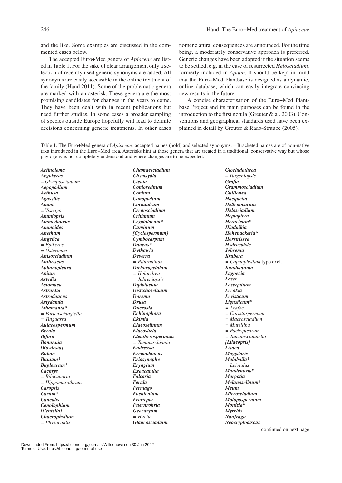and the like. Some examples are discussed in the commented cases below.

The accepted Euro+Med genera of *Apiaceae* are listed in Table 1. For the sake of clear arrangement only a selection of recently used generic synonyms are added. All synonyms are easily accessible in the online treatment of the family (Hand 2011). Some of the problematic genera are marked with an asterisk. These genera are the most promising candidates for changes in the years to come. They have been dealt with in recent publications but need further studies. In some cases a broader sampling of species outside Europe hopefully will lead to definite decisions concerning generic treatments. In other cases nomenclatural consequences are announced. For the time being, a moderately conservative approach is preferred. Generic changes have been adopted if the situation seems to be settled, e.g. in the case of resurrected *Helosciadium,* formerly included in *Apium*. It should be kept in mind that the Euro+Med Plantbase is designed as a dynamic, online database, which can easily integrate convincing new results in the future.

A concise characterisation of the Euro+Med Plantbase Project and its main purposes can be found in the introduction to the first notula (Greuter & al. 2003). Conventions and geographical standards used have been explained in detail by Greuter & Raab-Straube (2005).

Table 1. The Euro+Med genera of *Apiaceae:* accepted names (bold) and selected synonyms. – Bracketed names are of non-native taxa introduced in the Euro+Med area. Asterisks hint at those genera that are treated in a traditional, conservative way but whose phylogeny is not completely understood and where changes are to be expected.

| Actinolema               | <i><b>Chamaesciadium</b></i> | <b>Glochidotheca</b>        |
|--------------------------|------------------------------|-----------------------------|
| <b>Aegokeras</b>         | Chymsydia                    | $\equiv$ Turgeniopsis       |
| $\equiv$ Olymposciadium  | Cicuta                       | <b>Grafia</b>               |
| Aegopodium               | Conioselinum                 | <b>Grammosciadium</b>       |
| Aethusa                  | Conium                       | <b>Guillonea</b>            |
| <b>Agasyllis</b>         | Conopodium                   | Hacquetia                   |
| Ammi                     | Coriandrum                   | Hellenocarum                |
| $= Visnaga$              | <b>Crenosciadium</b>         | Helosciadium                |
| <b>Ammiopsis</b>         | Crithmum                     | <b>Heptaptera</b>           |
| <b>Ammodaucus</b>        | Cryptotaenia*                | Heracleum*                  |
| <b>Ammoides</b>          | Cuminum                      | <b>Hladnikia</b>            |
| Anethum                  | [Cyclospermum]               | Hohenackeria*               |
| Angelica                 | Cymbocarpum                  | <b>Horstrissea</b>          |
| $= Epikeros$             | Daucus*                      | <b>Hydrocotyle</b>          |
| $= Ostericum$            | <b>Dethawia</b>              | <b>Johrenia</b>             |
| Anisosciadium            | <b>Deverra</b>               | <b>Krubera</b>              |
| <i><b>Anthriscus</b></i> | $= Pituranthos$              | $= Capnophyllum$ typo excl. |
| Aphanopleura             | Dichoropetalum               | Kundmannia                  |
| Apium                    | $= Holandrea$                | Lagoecia                    |
| <b>Artedia</b>           | $=$ Johreniopsis             | Laser                       |
| <b>Astomaea</b>          | Diplotaenia                  | Laserpitium                 |
| <i><b>Astrantia</b></i>  | <b>Distichoselinum</b>       | Lecokia                     |
| <b>Astrodaucus</b>       | <b>Dorema</b>                | Levisticum                  |
| <b>Astydamia</b>         | <b>Drusa</b>                 | Ligusticum*                 |
| Athamanta*               | <b>Ducrosia</b>              | $= Arafoe$                  |
| $= Portenschlagiella$    | <i>Echinophora</i>           | $=$ Coristospermum          |
| $=$ Tinguarra            | <b>Ekimia</b>                | $= Macrosciadium$           |
| Aulacospermum            | <b>Elaeoselinum</b>          | = Mutellina                 |
| <b>Berula</b>            | <i>Elaeosticta</i>           | $=$ Pachypleurum            |
| <b>Bifora</b>            | Eleutherospermum             | = Tamamschjanella           |
| <b>Bonannia</b>          | $=$ Tamamschjania            | [Lilaeopsis]                |
| [Bowlesia]               | <i>Endressia</i>             | Lisaea                      |
| <b>Bubon</b>             | <b>Eremodaucus</b>           | <b>Magydaris</b>            |
| Bunium*                  | Eriosynaphe                  | Malabaila*                  |
| Bupleurum*               | Eryngium                     | $= Leiotulus$               |
| Cachrys                  | <b>Exoacantha</b>            | Mandenovia*                 |
| $= Bilacunaria$          | <b>Falcaria</b>              | <b>Margotia</b>             |
| $=$ Hippomarathrum       | Ferula                       | Melanoselinum*              |
| <b>Caropsis</b>          | Ferulago                     | Meum                        |
| $Carum*$                 | <b>Foeniculum</b>            | <b>Microsciadium</b>        |
| Caucalis                 | Froriepia                    | Molopospermum               |
| Cenolophium              | <i><b>Fuernrohria</b></i>    | Monizia*                    |
| [Centella]               | Geocaryum                    | <b>Myrrhis</b>              |
| Chaerophyllum            | $= Huetia$                   | Naufraga                    |
| = Physocaulis            | <b>Glaucosciadium</b>        | Neocryptodiscus             |
|                          |                              |                             |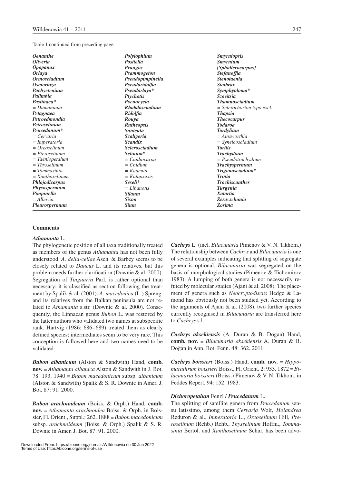#### Table 1 continued from preceding page

| <b>Oenanthe</b>            | Polylophium                         | <i><b>Smyrniopsis</b></i>    |
|----------------------------|-------------------------------------|------------------------------|
| <b>Oliveria</b>            | <b>Postiella</b>                    | Smyrnium                     |
| <i><b>Opopanax</b></i>     | <b>Prangos</b>                      | [Sphallerocarpus]            |
| <i>Orlaya</i>              | <b>Psammogeton</b>                  | <i>Stefanoffia</i>           |
| <i><b>Ormosciadium</b></i> | Pseudopimpinella                    | <i><b>Stenotaenia</b></i>    |
| <b>Osmorhiza</b>           | Pseudoridolfia                      | <b>Stoibrax</b>              |
| Pachyctenium               | Pseudorlaya*                        | Symphyoloma*                 |
| Palimbia                   | <b>Ptychotis</b>                    | <i>Szovitsia</i>             |
| Pastinaca*                 | Pycnocycla                          | <b>Thamnosciadium</b>        |
| $=$ Dumaniana              | <b>Rhabdosciadium</b>               | $= Sclerochorton$ typo excl. |
| Petagnaea                  | <b>Ridolfia</b>                     | <b>Thapsia</b>               |
| Petroedmondia              | Rouya                               | <b>Thecocarpus</b>           |
| Petroselinum               | <b>Rutheopsis</b>                   | <b>Todaroa</b>               |
| Peucedanum*                | <i>Sanicula</i>                     | <b>Tordylium</b>             |
| $= Cervaria$               | <b>Scaligeria</b>                   | $= A$ <i>insworthia</i>      |
| $= Imperatoria$            | <b>Scandix</b>                      | $= S$ <i>ynelcosciadium</i>  |
| $= Oreoselinum$            | <i><u><b>Sclerosciadium</b></u></i> | <b>Torilis</b>               |
| $= Preroselinum$           | Selinum <sup>*</sup>                | <b>Trachydium</b>            |
| $= Taeniopetalum$          | = Cnidiocarpa                       | $= Pseudotrachy dium$        |
| $=$ Thysselinum            | $= Cn$ idium                        | <b>Trachyspermum</b>         |
| $= Tommasinia$             | = Kadenia                           | Trigonosciadium*             |
| $= Xanthoselinum$          | = Katapsuxis                        | <b>Trinia</b>                |
| Phlojodicarpus             | Seseli*                             | <b>Trochiscanthes</b>        |
| Physospermum               | $=Libanotis$                        | <b>Turgenia</b>              |
| Pimpinella                 | <b>Silaum</b>                       | <b>Xatartia</b>              |
| $= Alhovia$                | <b>Sison</b>                        | <b>Zeravschania</b>          |
| Pleurospermum              | <b>Sium</b>                         | Zosima                       |

#### **Comments**

#### *Athamanta* L.

The phylogenetic position of all taxa traditionally treated as members of the genus *Athamanta* has not been fully understood. *A. della-cellae* Asch. & Barbey seems to be closely related to *Daucus* L. and its relatives, but this problem needs further clarification (Downie & al. 2000). Segregation of *Tinguarra* Parl. is rather optional than necessary; it is classified as section following the treatment by Spalik & al. (2001). *A. macedonica* (L.) Spreng. and its relatives from the Balkan peninsula are not related to *Athamanta* s.str. (Downie & al. 2000). Consequently, the Linnaean genus *Bubon* L. was restored by the latter authors who validated two names at subspecific rank. Hartvig (1986: 686–689) treated them as clearly defined species; intermediates seem to be very rare. This conception is followed here and two names need to be validated:

*Bubon albanicum* (Alston & Sandwith) Hand, **comb. nov.** ≡ *Athamanta albanica* Alston & Sandwith in J. Bot. 78: 193. 1940 ≡ *Bubon macedonicum* subsp. *albanicum* (Alston & Sandwith) Spalik & S. R. Downie in Amer. J. Bot. 87: 91. 2000.

*Bubon arachnoideum* (Boiss. & Orph.) Hand, **comb. nov.** ≡ *Athamanta arachnoidea* Boiss. & Orph. in Boissier, Fl. Orient., Suppl.: 262. 1888 ≡ *Bubon macedonicum* subsp. *arachnoideum* (Boiss. & Orph.) Spalik & S. R. Downie in Amer. J. Bot. 87: 91. 2000.

The relationship between *Cachrys* and *Bilacunaria* is one of several examples indicating that splitting of segregate genera is optional. *Bilacunaria* was segregated on the basis of morphological studies (Pimenov & Tichomirov 1983). A lumping of both genera is not necessarily refuted by molecular studies (Ajani & al. 2008). The placement of genera such as *Neocryptodiscus* Hedge & Lamond has obviously not been studied yet. According to the arguments of Ajani & al. (2008), two further species currently recognised in *Bilacunaria* are transferred here to *Cachrys* s.l.: *Cachrys aksekiensis* (A. Duran & B. Doğan) Hand, **comb. nov.** ≡ *Bilacunaria aksekiensis* A. Duran & B.

*Cachrys* L. (incl. *Bilacunaria* Pimenov & V. N. Tikhom.)

*Cachrys boissieri* (Boiss.) Hand, **comb. nov.** ≡ *Hippomarathrum boissieri* Boiss., Fl. Orient. 2: 933. 1872 ≡ *Bilacunaria boissieri* (Boiss.) Pimenov & V. N. Tikhom. in Feddes Repert. 94: 152. 1983.

#### *Dichoropetalum* Fenzl / *Peucedanum* L.

Doğan in Ann. Bot. Fenn. 48: 362. 2011.

The splitting of satellite genera from *Peucedanum* sensu latissimo, among them *Cervaria* Wolf, *Holandrea* Reduron & al., *Imperatoria* L., *Oreoselinum* Hill, *Pteroselinum* (Rchb.) Rchb., *Thysselinum* Hoffm., *Tommasinia* Bertol. and *Xanthoselinum* Schur, has been advo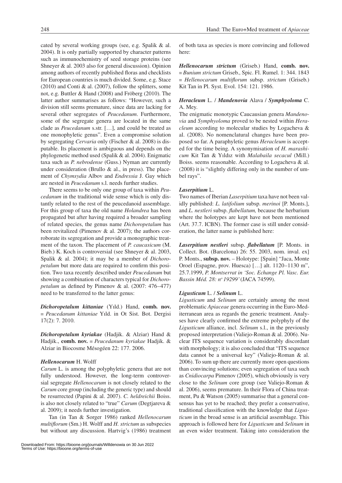cated by several working groups (see, e.g. Spalik & al. 2004). It is only partially supported by character patterns such as immunochemistry of seed storage proteins (see Shneyer & al. 2003 also for general discussion). Opinion among authors of recently published floras and checklists for European countries is much divided. Some, e.g. Stace  $(2010)$  and Conti & al.  $(2007)$ , follow the splitters, some not, e.g. Buttler & Hand (2008) and Fröberg (2010). The latter author summarises as follows: "However, such a division still seems premature, since data are lacking for several other segregates of *Peucedanum*. Furthermore, some of the segregate genera are located in the same clade as *Peucedanum* s.str. […], and could be treated as one monophyletic genus". Even a compromise solution by segregating *Cervaria* only (Fischer & al. 2008) is disputable. Its placement is ambiguous and depends on the phylogenetic method used (Spalik & al. 2004). Enigmatic taxa such as *P. nebrodense* (Guss.) Nyman are currently under consideration (Brullo & al., in press). The placement of *Chymsydia* Albov and *Endressia* J. Gay which are nested in *Peucedanum* s.l. needs further studies.

There seems to be only one group of taxa within *Peucedanum* in the traditional wide sense which is only distantly related to the rest of the peucedanoid assemblage. For this group of taxa the old name *Holandrea* has been propagated but after having required a broader sampling of related species, the genus name *Dichoropetalum* has been revitalized (Pimenov & al. 2007); the authors corroborate its segregation and provide a monographic treatment of the taxon. The placement of *P. caucasicum* (M. Bieb.) K. Koch is controversial (see Shneyer & al. 2003, Spalik & al. 2004); it may be a member of *Dichoropetalum* but more data are required to confirm this position. Two taxa recently described under *Peucedanum* but showing a combination of characters typical for *Dichoropetalum* as defined by Pimenov & al. (2007: 476–477) need to be transferred to the latter genus:

*Dichoropetalum kittaniae* (Yıld.) Hand, **comb. nov.**  ≡ *Peucedanum kittaniae* Yıld. in Ot Sist. Bot. Dergisi 17(2): 7. 2010.

*Dichoropetalum kyriakae* (Hadjik. & Alziar) Hand & Hadjik., **comb. nov.** ≡ *Peucedanum kyriakae* Hadjik. & Alziar in Biocosme Mésogéen 22: 177. 2006.

#### *Hellenocarum* H. Wolff

*Carum* L. is among the polyphyletic genera that are not fully understood. However, the long-term controversial segregate *Hellenocarum* is not closely related to the *Carum* core group (including the generic type) and should be resurrected (Papini & al. 2007). *C. heldreichii* Boiss. is also not closely related to "true" *Carum* (Degtjareva & al. 2009); it needs further investigation.

Tan (in Tan & Sorger 1986) ranked *Hellenocarum multiflorum* (Sm.) H. Wolff and *H. strictum* as subspecies but without any discussion. Hartvig's (1986) treatment of both taxa as species is more convincing and followed here:

*Hellenocarum strictum* (Griseb.) Hand, **comb. nov.**  ≡ *Bunium strictum* Griseb., Spic. Fl. Rumel. 1: 344. 1843 ≡ *Hellenocarum multiflorum* subsp. *strictum* (Griseb.) Kit Tan in Pl. Syst. Evol. 154: 121. 1986.

# *Heracleum* L. / *Mandenovia* Alava / *Symphyoloma* C. A. Mey.

The enigmatic monotypic Caucausian genera *Mandenovia* and *Symphyoloma* proved to be nested within *Heracleum* according to molecular studies by Logacheva & al. (2008). No nomenclatural changes have been proposed so far. A paraphyletic genus *Heracleum* is accepted for the time being. A synonymisation of *H. marashicum* Kit Tan & Yıldız with *Malabaila secacul* (Mill.) Boiss. seems reasonable. According to Logacheva & al. (2008) it is "slightly differing only in the number of umbel rays".

#### *Laserpitium* L.

Two names of Iberian *Laserpitium* taxa have not been validly published: *L. latifolium* subsp. *merinoi* [P. Monts.], and *L. nestleri* subsp. *flabellatum,* because the herbarium where the holotypes are kept have not been mentioned (Art. 37.7. ICBN). The former case is still under consideration, the latter name is published here:

*Laserpitium nestleri* subsp. *flabellatum* [P. Monts. in Collect. Bot. (Barcelona) 26: 55. 2003, nom. inval. ex] P. Monts., **subsp. nov.** – Holotype: [Spain] "Jaca, Monte Oroel (Espagne, prov. Huesca) […] alt. 1120–1130 m", 25.7.1999, *P. Montserrat in 'Soc. Echange Pl. Vasc. Eur. Bassin Méd. 28: no 19299'* (JACA 74599).

#### *Ligusticum* L. / *Selinum* L.

*Ligusticum* and *Selinum* are certainly among the most problematic *Apiaceae* genera occurring in the Euro-Mediterranean area as regards the generic treatment. Analyses have clearly confirmed the extreme polyphyly of the *Ligusticum* alliance, incl. *Selinum* s.l., in the previously proposed interpretation (Valiejo-Roman & al. 2006). Nuclear ITS sequence variation is considerably discordant with morphology; it is also concluded that "ITS sequence" data cannot be a universal key" (Valiejo-Roman & al. 2006). To sum up there are currently more open questions than convincing solutions; even segregation of taxa such as *Cnidiocarpa* Pimenov (2005), which obviously is very close to the *Selinum* core group (see Valiejo-Roman & al. 2006), seems premature. In their Flora of China treatment, Pu & Watson (2005) summarise that a general consensus has yet to be reached; they prefer a conservative, traditional classification with the knowledge that *Ligusticum* in the broad sense is an artificial assemblage. This approach is followed here for *Ligusticum* and *Selinum* in an even wider treatment. Taking into consideration the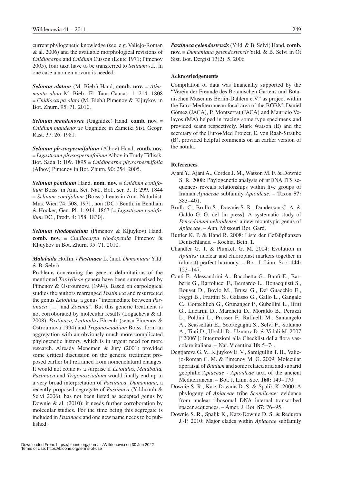current phylogenetic knowledge (see, e.g. Valiejo-Roman & al. 2006) and the available morphological revisions of *Cnidiocarpa* and *Cnidium* Cusson (Leute 1971; Pimenov 2005), four taxa have to be transferred to *Selinum* s.l.; in one case a nomen novum is needed:

*Selinum alatum* (M. Bieb.) Hand, **comb. nov.** ≡ *Athamanta alata* M. Bieb., Fl. Taur.-Caucas. 1: 214. 1808 ≡ *Cnidiocarpa alata* (M. Bieb.) Pimenov & Kljuykov in Bot. Zhurn. 95: 71. 2010.

*Selinum mandenovae* (Gagnidze) Hand, **comb. nov.** ≡ *Cnidium mandenovae* Gagnidze in Zametki Sist. Geogr. Rast. 37: 26. 1981.

*Selinum physospermifolium* (Albov) Hand, **comb. nov.** ≡ *Ligusticum physospermifolium* Albov in Trudy Tiflissk. Bot. Sada 1: 109. 1895 ≡ *Cnidiocarpa physospermifolia* (Albov) Pimenov in Bot. Zhurn. 90: 254. 2005.

*Selinum ponticum* Hand, **nom. nov.** ≡ *Cnidium coniifolium* Boiss. in Ann. Sci. Nat., Bot., ser. 3, 1: 299. 1844 ≡ *Selinum coniifolium* (Boiss.) Leute in Ann. Naturhist. Mus. Wien 74: 508. 1971, non (DC.) Benth. in Bentham & Hooker, Gen. Pl. 1: 914. 1867 [≡ *Ligusticum coniifolium* DC., Prodr. 4: 158. 1830].

*Selinum rhodopetalum* (Pimenov & Kljuykov) Hand, **comb. nov.** ≡ *Cnidiocarpa rhodopetala* Pimenov & Kljuykov in Bot. Zhurn. 95: 71. 2010.

# *Malabaila* Hoffm. / *Pastinaca* L. (incl. *Dumaniana* Yıld. & B. Selvi)

Problems concerning the generic delimitations of the mentioned *Tordylieae* genera have been summarised by Pimenov & Ostroumova (1994). Based on carpological studies the authors rearranged *Pastinaca* and resurrected the genus *Leiotulus,* a genus "intermediate between *Pastinaca* […] and *Zosima*". But this generic treatment is not corroborated by molecular results (Logacheva & al. 2008). *Pastinaca, Leitotulus* Ehrenb. (sensu Pimenov & Ostroumova 1994) and *Trigonosciadium* Boiss. form an aggregation with an obviously much more complicated phylogenetic history, which is in urgent need for more research. Already Menemen & Jury (2001) provided some critical discussion on the generic treatment proposed earlier but refrained from nomenclatural changes. It would not come as a surprise if *Leiotulus, Malabaila, Pastinaca* and *Trigonosciadium* would finally end up in a very broad interpretation of *Pastinaca*. *Dumaniana,* a recently proposed segregate of *Pastinaca* (Yıldırımlı & Selvi 2006), has not been listed as accepted genus by Downie & al. (2010); it needs further corroboration by molecular studies. For the time being this segregate is included in *Pastinaca* and one new name needs to be published:

*Pastinaca gelendostensis* (Yıld. & B. Selvi) Hand, **comb. nov.** ≡ *Dumaniana gelendostensis* Yıld. & B. Selvi in Ot Sist. Bot. Dergisi 13(2): 5. 2006

## **Acknowledgements**

Compilation of data was financially supported by the "Verein der Freunde des Botanischen Gartens und Botanischen Museums Berlin-Dahlem e.V." as project within the Euro-Mediterranean focal area of the BGBM. Daniel Gómez (JACA), P. Montserrat (JACA) and Mauricio Velayos (MA) helped in tracing some type specimens and provided scans respectively. Mark Watson (E) and the secretary of the Euro+Med Project, E. von Raab-Straube (B), provided helpful comments on an earlier version of the notula.

## **References**

- Ajani Y., Ajani A., Cordes J. M., Watson M. F. & Downie S. R. 2008: Phylogenetic analysis of nrDNA ITS sequences reveals relationships within five groups of Iranian *Apiaceae* subfamily *Apioideae*. – Taxon **57:**  383–401.
- Brullo C., Brullo S., Downie S. R., Danderson C. A. & Galdo G. G. del [in press]: A systematic study of *Peucedanum nebrodense:* a new monotypic genus of *Apiaceae*. – Ann. Missouri Bot. Gard.
- Buttler K. P. & Hand R. 2008: Liste der Gefäßpflanzen Deutschlands. – Kochia, Beih. **1.**
- Chandler G. T. & Plunkett G. M. 2004: Evolution in *Apiales:* nuclear and chloroplast markers together in (almost) perfect harmony. – Bot. J. Linn. Soc. **144:**  123–147.
- Conti F., Alessandrini A., Bacchetta G., Banfi E., Barberis G., Bartolucci F., Bernardo L., Bonacquisti S., Bouvet D., Bovio M., Brusa G., Del Guacchio E., Foggi B., Frattini S., Galasso G., Gallo L., Gangale C., Gottschlich G., Grünanger P., Gubellini L., Iiriti G., Lucarini D., Marchetti D., Moraldo B., Peruzzi L., Poldini L., Prosser F., Raffaelli M., Santangelo A., Scassellati E., Scortegagna S., Selvi F., Soldano A., Tinti D., Ubaldi D., Uzunov D. & Vidali M. 2007 ["2006"]: Integrazioni alla Checklist della flora vascolare italiana. – Nat. Vicentina **10:** 5–74.
- Degtjareva G. V., Kljuykov E. V., Samigullin T. H., Valiejo-Roman C. M. & Pimenov M. G. 2009: Molecular appraisal of *Bunium* and some related arid and subarid geophilic *Apiaceae* - *Apioideae* taxa of the ancient Mediterranean. – Bot. J. Linn. Soc. **160:** 149–170.
- Downie S. R., Katz-Downie D. S. & Spalik K. 2000: A phylogeny of *Apiaceae* tribe *Scandiceae:* evidence from nuclear ribosomal DNA internal transcribed spacer sequences. – Amer. J. Bot. **87:** 76–95.
- Downie S. R., Spalik K., Katz-Downie D. S. & Reduron J.-P. 2010: Major clades within *Apiaceae* subfamily